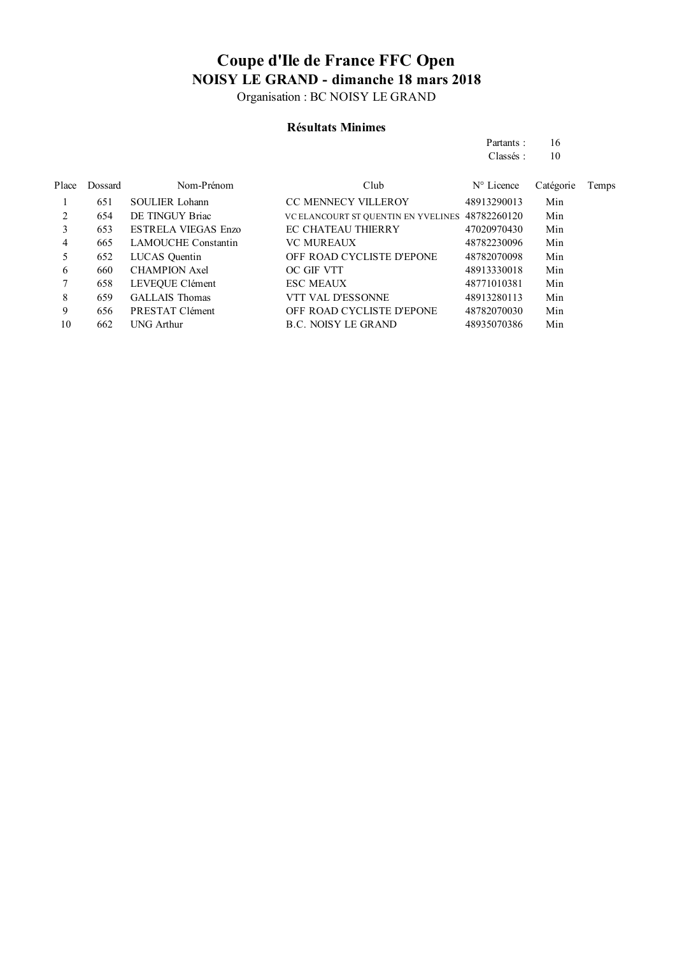Organisation : BC NOISY LE GRAND

#### **Résultats Minimes**

#### Partants : 16 Classés : 10

| Place | Dossard | Nom-Prénom                 | Club                                            | $N^{\circ}$ Licence | Catégorie | Temps |
|-------|---------|----------------------------|-------------------------------------------------|---------------------|-----------|-------|
|       | 651     | <b>SOULIER Lohann</b>      | <b>CC MENNECY VILLEROY</b>                      | 48913290013         | Min       |       |
|       | 654     | DE TINGUY Briac            | VC ELANCOURT ST QUENTIN EN YVELINES 48782260120 |                     | Min       |       |
| 3     | 653     | <b>ESTRELA VIEGAS Enzo</b> | <b>EC CHATEAU THIERRY</b>                       | 47020970430         | Min       |       |
| 4     | 665     | <b>LAMOUCHE Constantin</b> | <b>VC MUREAUX</b>                               | 48782230096         | Min       |       |
|       | 652     | LUCAS Quentin              | OFF ROAD CYCLISTE D'EPONE                       | 48782070098         | Min       |       |
| 6     | 660     | <b>CHAMPION Axel</b>       | OC GIF VTT                                      | 48913330018         | Min       |       |
|       | 658     | LEVEOUE Clément            | <b>ESC MEAUX</b>                                | 48771010381         | Min       |       |
| 8     | 659     | <b>GALLAIS</b> Thomas      | VTT VAL D'ESSONNE                               | 48913280113         | Min       |       |
| 9     | 656     | PRESTAT Clément            | OFF ROAD CYCLISTE D'EPONE                       | 48782070030         | Min       |       |
| 10    | 662     | UNG Arthur                 | <b>B.C. NOISY LE GRAND</b>                      | 48935070386         | Min       |       |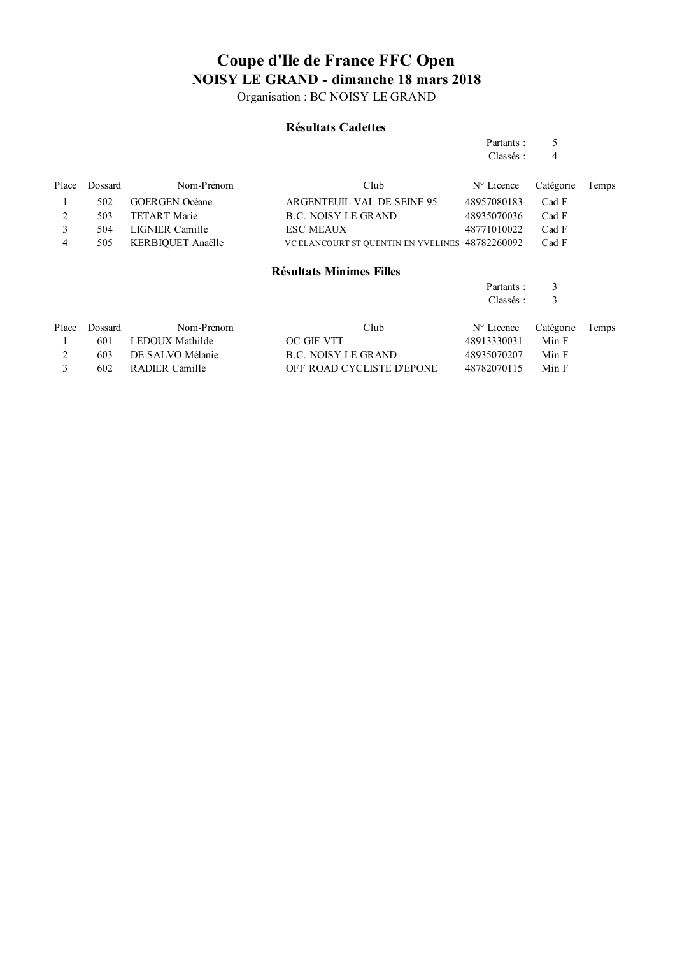Organisation : BC NOISY LE GRAND

#### **Résultats Cadettes**

| Partants: | 5 |
|-----------|---|
| Classés:  |   |

| Place | Dossard | Nom-Prénom            | Club                                            | $N^{\circ}$ Licence Catégorie |       | Temps |
|-------|---------|-----------------------|-------------------------------------------------|-------------------------------|-------|-------|
|       | 502     | <b>GOERGEN</b> Océane | ARGENTEUIL VAL DE SEINE 95                      | 48957080183                   | Cad F |       |
|       | 503     | TETART Marie          | B.C. NOISY LE GRAND                             | 48935070036                   | Cad F |       |
|       | 504     | LIGNIER Camille       | <b>ESC MEAUX</b>                                | 48771010022                   | Cad F |       |
| 4     | 505     | KERBIOUET Anaëlle     | VC ELANCOURT ST QUENTIN EN YVELINES 48782260092 |                               | Cad F |       |
|       |         |                       |                                                 |                               |       |       |

### **Résultats Minimes Filles**

| Partants: |  |
|-----------|--|
| Classés:  |  |

| Place | Dossard | Nom-Prénom           | Club.                     | N° Licence Catégorie |       | Temps |
|-------|---------|----------------------|---------------------------|----------------------|-------|-------|
|       | -601    | LEDOUX Mathilde      | OC GIF VTT                | 48913330031          | Min F |       |
|       |         | 603 DE SALVO Mélanie | B.C. NOISY LE GRAND       | 48935070207          | Min F |       |
|       |         | 602 RADIER Camille   | OFF ROAD CYCLISTE D'EPONE | 48782070115          | Min F |       |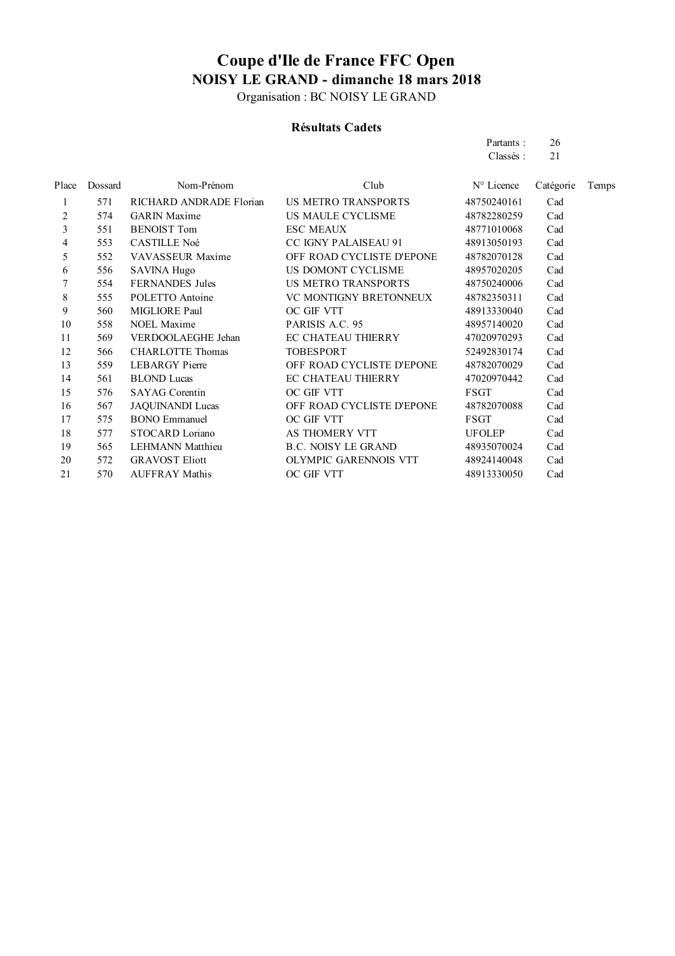Organisation : BC NOISY LE GRAND

#### **Résultats Cadets**

#### Partants : 26 Classés : 21

| Place | Dossard | Nom-Prénom              | Club                       | N° Licence    | Catégorie | Temps |
|-------|---------|-------------------------|----------------------------|---------------|-----------|-------|
| 1     | 571     | RICHARD ANDRADE Florian | US METRO TRANSPORTS        | 48750240161   | Cad       |       |
| 2     | 574     | <b>GARIN</b> Maxime     | US MAULE CYCLISME          | 48782280259   | Cad       |       |
| 3     | 551     | <b>BENOIST Tom</b>      | <b>ESC MEAUX</b>           | 48771010068   | Cad       |       |
| 4     | 553     | <b>CASTILLE Noé</b>     | CC IGNY PALAISEAU 91       | 48913050193   | Cad       |       |
| 5     | 552     | VAVASSEUR Maxime        | OFF ROAD CYCLISTE D'EPONE  | 48782070128   | Cad       |       |
| 6     | 556     | <b>SAVINA Hugo</b>      | US DOMONT CYCLISME         | 48957020205   | Cad       |       |
| 7     | 554     | <b>FERNANDES</b> Jules  | US METRO TRANSPORTS        | 48750240006   | Cad       |       |
| 8     | 555     | POLETTO Antoine         | VC MONTIGNY BRETONNEUX     | 48782350311   | Cad       |       |
| 9     | 560     | MIGLIORE Paul           | OC GIF VTT                 | 48913330040   | Cad       |       |
| 10    | 558     | <b>NOEL Maxime</b>      | PARISIS A.C. 95            | 48957140020   | Cad       |       |
| 11    | 569     | VERDOOLAEGHE Jehan      | EC CHATEAU THIERRY         | 47020970293   | Cad       |       |
| 12    | 566     | <b>CHARLOTTE Thomas</b> | <b>TOBESPORT</b>           | 52492830174   | Cad       |       |
| 13    | 559     | <b>LEBARGY</b> Pierre   | OFF ROAD CYCLISTE D'EPONE  | 48782070029   | Cad       |       |
| 14    | 561     | <b>BLOND</b> Lucas      | EC CHATEAU THIERRY         | 47020970442   | Cad       |       |
| 15    | 576     | <b>SAYAG</b> Corentin   | OC GIF VTT                 | FSGT          | Cad       |       |
| 16    | 567     | <b>JAQUINANDI Lucas</b> | OFF ROAD CYCLISTE D'EPONE  | 48782070088   | Cad       |       |
| 17    | 575     | <b>BONO</b> Emmanuel    | OC GIF VTT                 | FSGT          | Cad       |       |
| 18    | 577     | STOCARD Loriano         | AS THOMERY VTT             | <b>UFOLEP</b> | Cad       |       |
| 19    | 565     | <b>LEHMANN Matthieu</b> | <b>B.C. NOISY LE GRAND</b> | 48935070024   | Cad       |       |
| 20    | 572     | <b>GRAVOST Eliott</b>   | OLYMPIC GARENNOIS VTT      | 48924140048   | Cad       |       |
| 21    | 570     | <b>AUFFRAY Mathis</b>   | OC GIF VTT                 | 48913330050   | Cad       |       |
|       |         |                         |                            |               |           |       |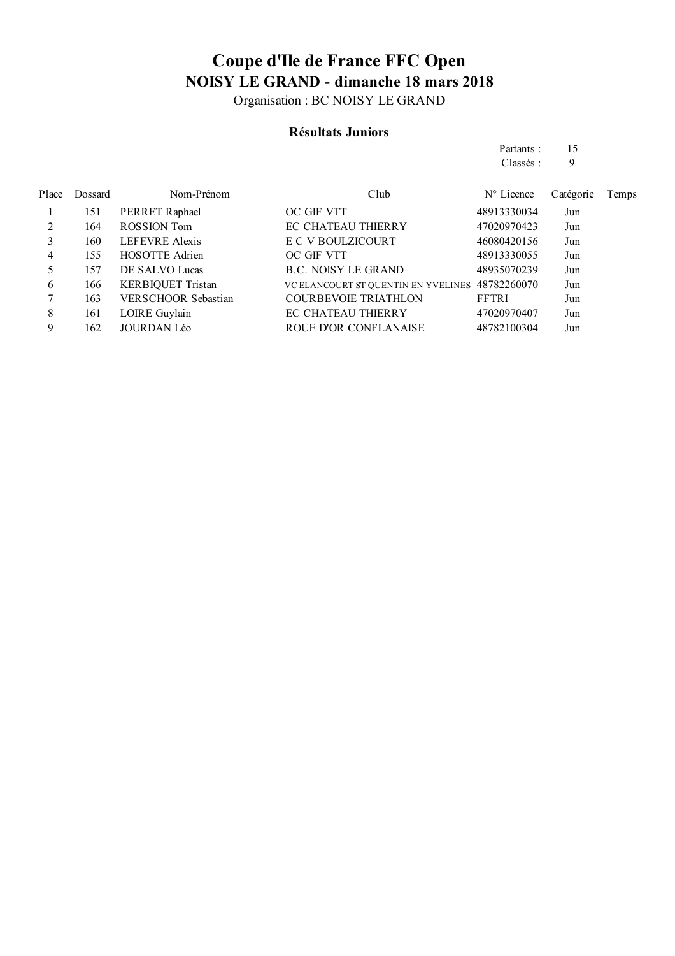Organisation : BC NOISY LE GRAND

### **Résultats Juniors**

|       |         |                            |                                     | Partants:           | 15        |       |
|-------|---------|----------------------------|-------------------------------------|---------------------|-----------|-------|
|       |         |                            |                                     | Classés:            | 9         |       |
| Place | Dossard | Nom-Prénom                 | Club                                | $N^{\circ}$ Licence | Catégorie | Temps |
|       | 151     | PERRET Raphael             | OC GIF VTT                          | 48913330034         | Jun       |       |
|       | 164     | ROSSION Tom                | EC CHATEAU THIERRY                  | 47020970423         | Jun       |       |
| 3     | 160     | <b>LEFEVRE Alexis</b>      | E C V BOULZICOURT                   | 46080420156         | Jun       |       |
| 4     | 155     | <b>HOSOTTE Adrien</b>      | OC GIF VTT                          | 48913330055         | Jun       |       |
| 5     | 157     | DE SALVO Lucas             | B.C. NOISY LE GRAND                 | 48935070239         | Jun       |       |
| 6     | 166     | <b>KERBIQUET Tristan</b>   | VC ELANCOURT ST QUENTIN EN YVELINES | 48782260070         | Jun       |       |
|       | 163     | <b>VERSCHOOR Sebastian</b> | <b>COURBEVOIE TRIATHLON</b>         | <b>FFTRI</b>        | Jun       |       |
| 8     | 161     | LOIRE Guylain              | <b>EC CHATEAU THIERRY</b>           | 47020970407         | Jun       |       |
| 9     | 162     | <b>JOURDAN Léo</b>         | ROUE D'OR CONFLANAISE               | 48782100304         | Jun       |       |
|       |         |                            |                                     |                     |           |       |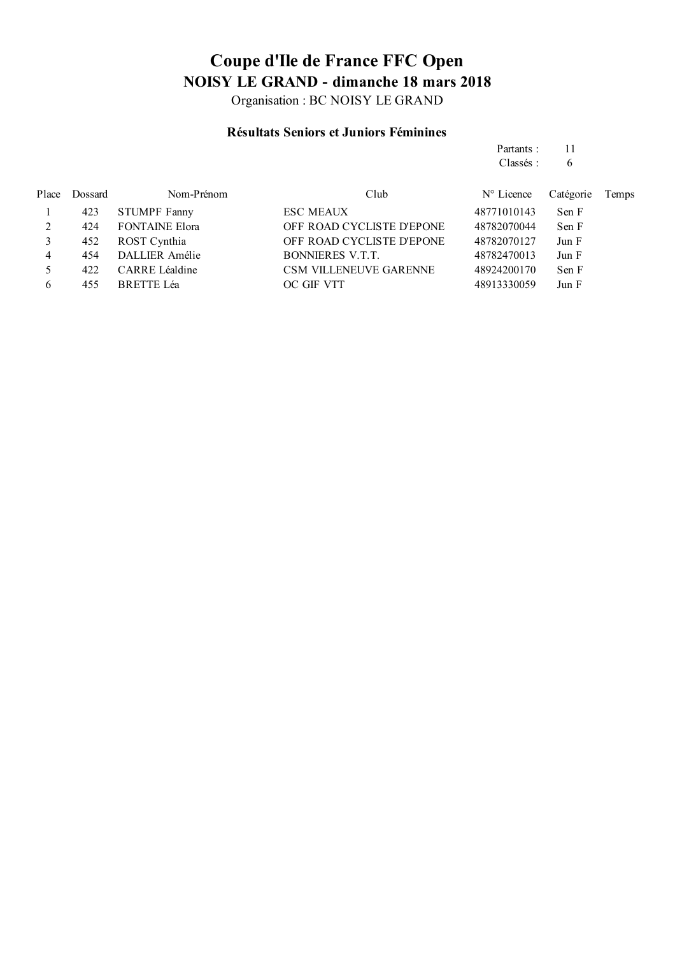Organisation : BC NOISY LE GRAND

### **Résultats Seniors et Juniors Féminines**

|       |         |                       |                               | Partants:           | 11        |       |
|-------|---------|-----------------------|-------------------------------|---------------------|-----------|-------|
|       |         |                       |                               | Classés:            | 6         |       |
| Place | Dossard | Nom-Prénom            | Club                          | $N^{\circ}$ Licence | Catégorie | Temps |
|       | 423     | <b>STUMPF Fanny</b>   | <b>ESC MEAUX</b>              | 48771010143         | Sen F     |       |
| 2     | 424     | <b>FONTAINE Elora</b> | OFF ROAD CYCLISTE D'EPONE     | 48782070044         | Sen F     |       |
| 3     | 452     | ROST Cynthia          | OFF ROAD CYCLISTE D'EPONE     | 48782070127         | Jun F     |       |
| 4     | 454     | DALLIER Amélie        | <b>BONNIERES V.T.T.</b>       | 48782470013         | Jun F     |       |
|       | 422     | CARRE Léaldine        | <b>CSM VILLENEUVE GARENNE</b> | 48924200170         | Sen F     |       |
| 6     | 455     | <b>BRETTE Léa</b>     | OC GIF VTT                    | 48913330059         | Jun F     |       |
|       |         |                       |                               |                     |           |       |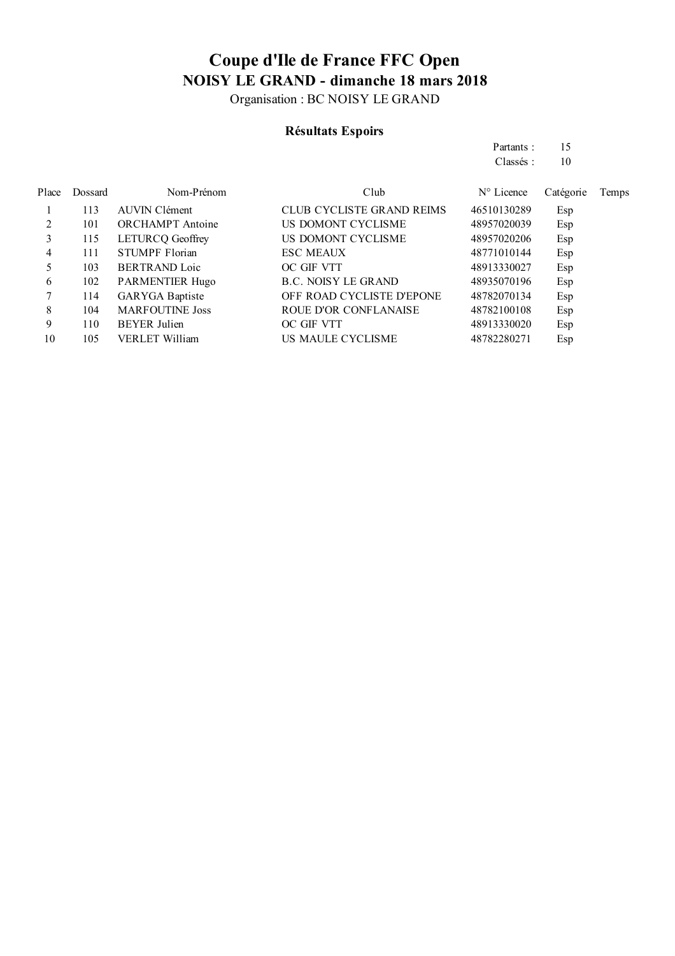Organisation : BC NOISY LE GRAND

### **Résultats Espoirs**

| Partants: | 15 |
|-----------|----|
| Classés:  | 10 |

| Place | Dossard | Nom-Prénom              | Club                             | $N^{\circ}$ Licence | Catégorie | Temps |
|-------|---------|-------------------------|----------------------------------|---------------------|-----------|-------|
|       | 113     | <b>AUVIN Clément</b>    | <b>CLUB CYCLISTE GRAND REIMS</b> | 46510130289         | Esp       |       |
|       | 101     | <b>ORCHAMPT</b> Antoine | US DOMONT CYCLISME               | 48957020039         | Esp       |       |
| 3     | 115     | <b>LETURCQ Geoffrey</b> | US DOMONT CYCLISME               | 48957020206         | Esp       |       |
| 4     | 111     | <b>STUMPF Florian</b>   | <b>ESC MEAUX</b>                 | 48771010144         | Esp       |       |
|       | 103     | <b>BERTRAND</b> Loic    | OC GIF VTT                       | 48913330027         | Esp       |       |
| 6     | 102     | <b>PARMENTIER Hugo</b>  | <b>B.C. NOISY LE GRAND</b>       | 48935070196         | Esp       |       |
|       | 114     | <b>GARYGA</b> Baptiste  | OFF ROAD CYCLISTE D'EPONE        | 48782070134         | Esp       |       |
| 8     | 104     | <b>MARFOUTINE Joss</b>  | <b>ROUE D'OR CONFLANAISE</b>     | 48782100108         | Esp       |       |
| 9     | 110     | <b>BEYER</b> Julien     | OC GIF VTT                       | 48913330020         | Esp       |       |
| 10    | 105     | VERLET William          | US MAULE CYCLISME                | 48782280271         | Esp       |       |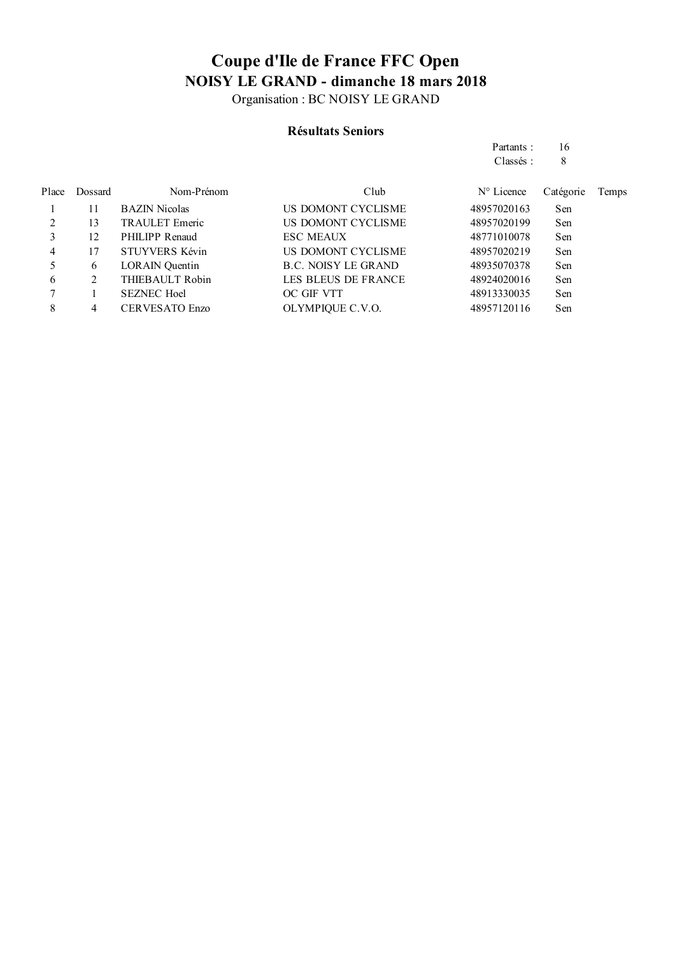Organisation : BC NOISY LE GRAND

### **Résultats Seniors**

|                |         |                       |                            | Partants:           | 16        |       |
|----------------|---------|-----------------------|----------------------------|---------------------|-----------|-------|
|                |         |                       |                            | Classés:            | 8         |       |
| Place          | Dossard | Nom-Prénom            | Club                       | $N^{\circ}$ Licence | Catégorie | Temps |
|                | 11      | <b>BAZIN Nicolas</b>  | US DOMONT CYCLISME         | 48957020163         | Sen       |       |
| 2              | 13      | TRAULET Emeric        | US DOMONT CYCLISME         | 48957020199         | Sen       |       |
| 3              | 12      | PHILIPP Renaud        | <b>ESC MEAUX</b>           | 48771010078         | Sen       |       |
| $\overline{4}$ | 17      | STUYVERS Kévin        | US DOMONT CYCLISME         | 48957020219         | Sen       |       |
| 5              | 6       | <b>LORAIN Quentin</b> | <b>B.C. NOISY LE GRAND</b> | 48935070378         | Sen       |       |
| 6              | 2       | THIEBAULT Robin       | LES BLEUS DE FRANCE        | 48924020016         | Sen       |       |
| 7              |         | <b>SEZNEC Hoel</b>    | OC GIF VTT                 | 48913330035         | Sen       |       |
| 8              | 4       | CERVESATO Enzo        | OLYMPIQUE C.V.O.           | 48957120116         | Sen       |       |
|                |         |                       |                            |                     |           |       |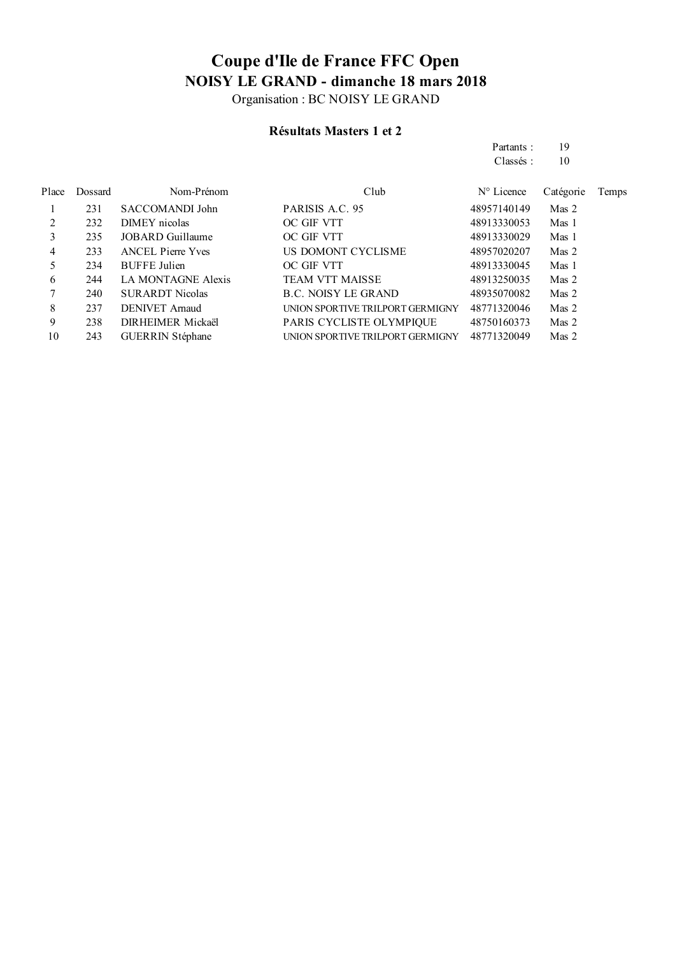Organisation : BC NOISY LE GRAND

### **Résultats Masters 1 et 2**

|       |         |                          |                                  | Partants:   | 19               |       |
|-------|---------|--------------------------|----------------------------------|-------------|------------------|-------|
|       |         |                          |                                  | Classés:    | 10               |       |
| Place | Dossard | Nom-Prénom               | Club                             | N° Licence  | Catégorie        | Temps |
| 1     | 231     | SACCOMANDI John          | PARISIS A.C. 95                  | 48957140149 | Mas 2            |       |
| 2     | 232     | DIMEY nicolas            | OC GIF VTT                       | 48913330053 | Mas <sub>1</sub> |       |
| 3     | 235     | <b>JOBARD</b> Guillaume  | OC GIF VTT                       | 48913330029 | Mas 1            |       |
| 4     | 233     | <b>ANCEL Pierre Yves</b> | US DOMONT CYCLISME               | 48957020207 | Mas 2            |       |
| 5     | 234     | <b>BUFFE</b> Julien      | OC GIF VTT                       | 48913330045 | Mas 1            |       |
| 6     | 244     | LA MONTAGNE Alexis       | <b>TEAM VTT MAISSE</b>           | 48913250035 | Mas 2            |       |
|       | 240     | <b>SURARDT Nicolas</b>   | <b>B.C. NOISY LE GRAND</b>       | 48935070082 | Mas 2            |       |
| 8     | 237     | <b>DENIVET Amaud</b>     | UNION SPORTIVE TRILPORT GERMIGNY | 48771320046 | Mas 2            |       |
| 9     | 238     | DIRHEIMER Mickaël        | PARIS CYCLISTE OLYMPIQUE         | 48750160373 | Mas 2            |       |
| 10    | 243     | <b>GUERRIN Stéphane</b>  | UNION SPORTIVE TRILPORT GERMIGNY | 48771320049 | Mas 2            |       |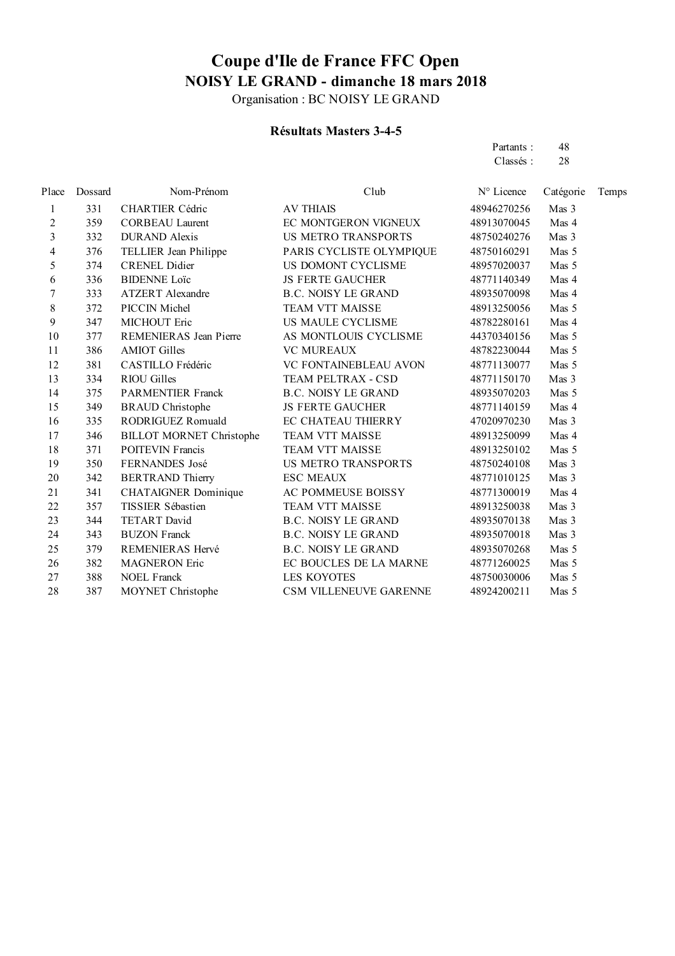Organisation : BC NOISY LE GRAND

### **Résultats Masters 3-4-5**

Partants : 48 Classés : 28

| Place          | Dossard | Nom-Prénom                      | Club                       | N° Licence  | Catégorie | Temps |
|----------------|---------|---------------------------------|----------------------------|-------------|-----------|-------|
| 1              | 331     | <b>CHARTIER Cédric</b>          | <b>AV THIAIS</b>           | 48946270256 | Mas 3     |       |
| $\overline{c}$ | 359     | <b>CORBEAU Laurent</b>          | EC MONTGERON VIGNEUX       | 48913070045 | Mas 4     |       |
| 3              | 332     | <b>DURAND</b> Alexis            | <b>US METRO TRANSPORTS</b> | 48750240276 | Mas 3     |       |
| 4              | 376     | TELLIER Jean Philippe           | PARIS CYCLISTE OLYMPIQUE   | 48750160291 | Mas 5     |       |
| 5              | 374     | <b>CRENEL Didier</b>            | US DOMONT CYCLISME         | 48957020037 | Mas 5     |       |
| 6              | 336     | <b>BIDENNE Loïc</b>             | <b>JS FERTE GAUCHER</b>    | 48771140349 | Mas 4     |       |
| 7              | 333     | <b>ATZERT</b> Alexandre         | <b>B.C. NOISY LE GRAND</b> | 48935070098 | Mas 4     |       |
| 8              | 372     | PICCIN Michel                   | TEAM VTT MAISSE            | 48913250056 | Mas 5     |       |
| 9              | 347     | MICHOUT Eric                    | US MAULE CYCLISME          | 48782280161 | Mas 4     |       |
| 10             | 377     | <b>REMENIERAS</b> Jean Pierre   | AS MONTLOUIS CYCLISME      | 44370340156 | Mas 5     |       |
| 11             | 386     | <b>AMIOT Gilles</b>             | <b>VC MUREAUX</b>          | 48782230044 | Mas 5     |       |
| 12             | 381     | CASTILLO Frédéric               | VC FONTAINEBLEAU AVON      | 48771130077 | Mas 5     |       |
| 13             | 334     | <b>RIOU Gilles</b>              | TEAM PELTRAX - CSD         | 48771150170 | Mas 3     |       |
| 14             | 375     | <b>PARMENTIER Franck</b>        | <b>B.C. NOISY LE GRAND</b> | 48935070203 | Mas 5     |       |
| 15             | 349     | <b>BRAUD</b> Christophe         | <b>JS FERTE GAUCHER</b>    | 48771140159 | Mas 4     |       |
| 16             | 335     | RODRIGUEZ Romuald               | EC CHATEAU THIERRY         | 47020970230 | Mas 3     |       |
| 17             | 346     | <b>BILLOT MORNET Christophe</b> | TEAM VTT MAISSE            | 48913250099 | Mas 4     |       |
| 18             | 371     | <b>POITEVIN Francis</b>         | TEAM VTT MAISSE            | 48913250102 | Mas 5     |       |
| 19             | 350     | FERNANDES José                  | US METRO TRANSPORTS        | 48750240108 | Mas 3     |       |
| 20             | 342     | <b>BERTRAND Thierry</b>         | <b>ESC MEAUX</b>           | 48771010125 | Mas 3     |       |
| 21             | 341     | <b>CHATAIGNER Dominique</b>     | AC POMMEUSE BOISSY         | 48771300019 | Mas 4     |       |
| 22             | 357     | TISSIER Sébastien               | TEAM VTT MAISSE            | 48913250038 | Mas 3     |       |
| 23             | 344     | TETART David                    | <b>B.C. NOISY LE GRAND</b> | 48935070138 | Mas 3     |       |
| 24             | 343     | <b>BUZON Franck</b>             | <b>B.C. NOISY LE GRAND</b> | 48935070018 | Mas 3     |       |
| 25             | 379     | REMENIERAS Hervé                | <b>B.C. NOISY LE GRAND</b> | 48935070268 | Mas 5     |       |
| 26             | 382     | <b>MAGNERON Eric</b>            | EC BOUCLES DE LA MARNE     | 48771260025 | Mas 5     |       |
| 27             | 388     | <b>NOEL Franck</b>              | <b>LES KOYOTES</b>         | 48750030006 | Mas 5     |       |
| 28             | 387     | MOYNET Christophe               | CSM VILLENEUVE GARENNE     | 48924200211 | Mas 5     |       |
|                |         |                                 |                            |             |           |       |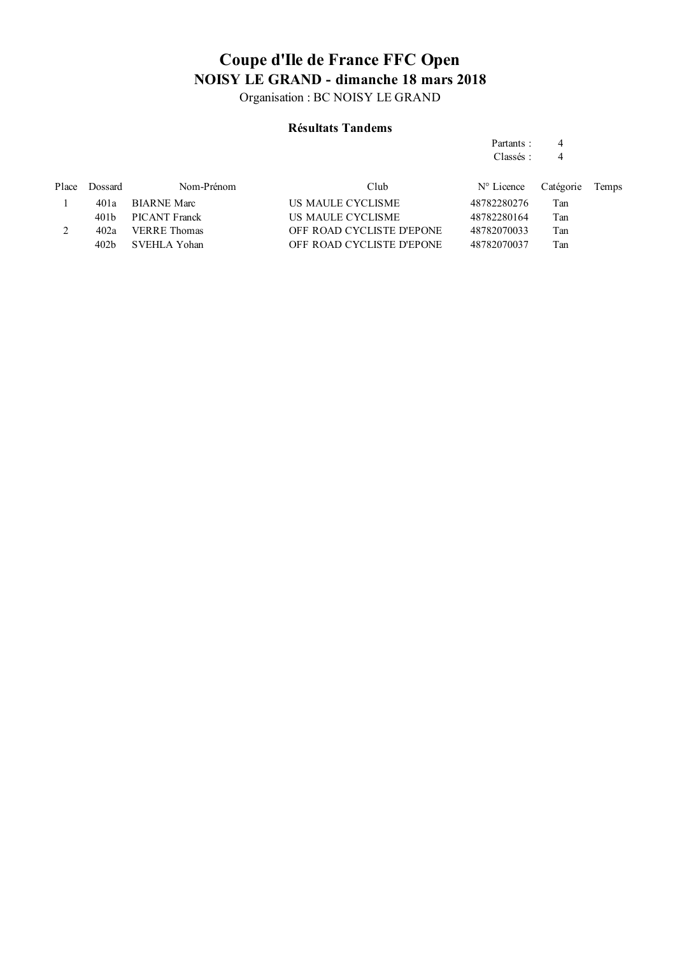Organisation : BC NOISY LE GRAND

#### **Résultats Tandems**

#### Partants : 4 Classés : 4

Place Dossard Nom-Prénom Club  $N^{\circ}$  Licence Catégorie Temps 1 401a BIARNE Marc US MAULE CYCLISME 48782280276 Tan 401b PICANT Franck US MAULE CYCLISME 48782280164 Tan 2 402a VERRE Thomas OFF ROAD CYCLISTE D'EPONE 48782070033 Tan 402b SVEHLA Yohan OFF ROAD CYCLISTE D'EPONE 48782070037 Tan